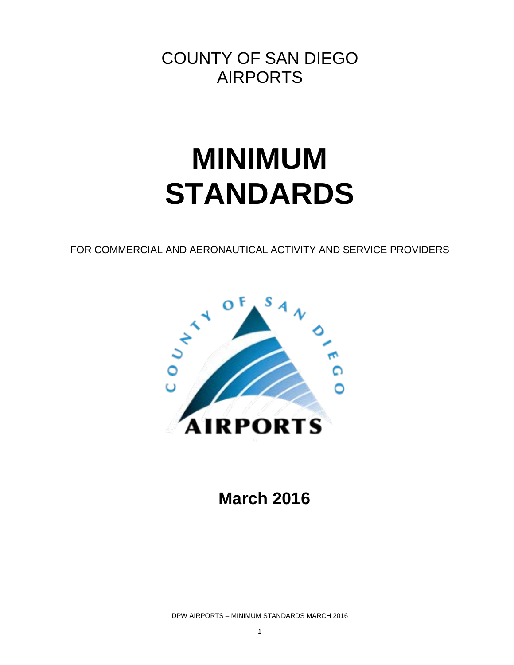COUNTY OF SAN DIEGO AIRPORTS

# **MINIMUM STANDARDS**

FOR COMMERCIAL AND AERONAUTICAL ACTIVITY AND SERVICE PROVIDERS



**March 2016**

DPW AIRPORTS – MINIMUM STANDARDS MARCH 2016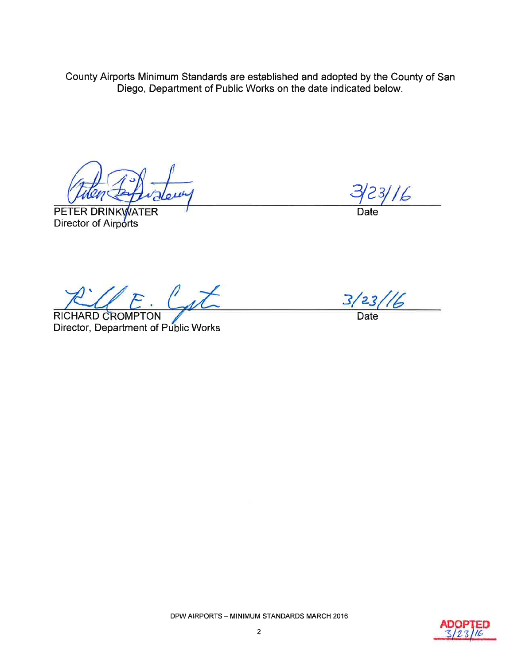County Airports Minimum Standards are established and adopted by the County of San Diego, Department of Public Works on the date indicated below.

PETER DRINKWATER Director of Airports

 $23/16$ 

Date

 $LE.$   $L\bar{d}$ 

RICHARD CROMPTON Director, Department of Public Works

 $3/23$ 6

Date

DPW AIRPORTS - MINIMUM STANDARDS MARCH 2016

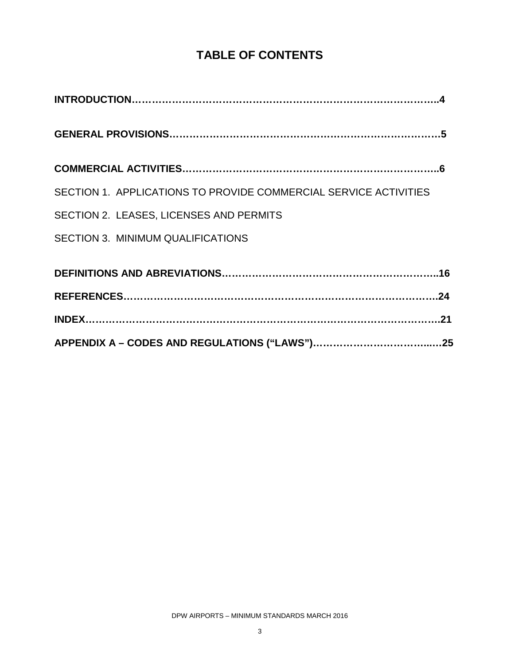# **TABLE OF CONTENTS**

| SECTION 1. APPLICATIONS TO PROVIDE COMMERCIAL SERVICE ACTIVITIES |  |
|------------------------------------------------------------------|--|
| SECTION 2. LEASES, LICENSES AND PERMITS                          |  |
| <b>SECTION 3. MINIMUM QUALIFICATIONS</b>                         |  |
|                                                                  |  |
|                                                                  |  |
|                                                                  |  |
|                                                                  |  |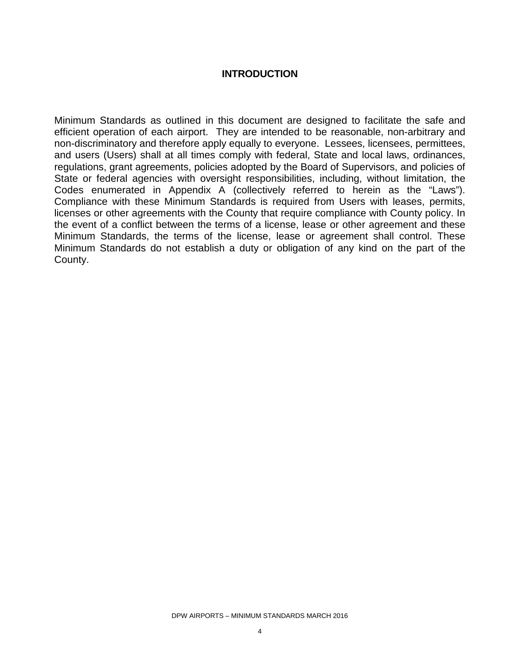#### **INTRODUCTION**

Minimum Standards as outlined in this document are designed to facilitate the safe and efficient operation of each airport. They are intended to be reasonable, non-arbitrary and non-discriminatory and therefore apply equally to everyone. Lessees, licensees, permittees, and users (Users) shall at all times comply with federal, State and local laws, ordinances, regulations, grant agreements, policies adopted by the Board of Supervisors, and policies of State or federal agencies with oversight responsibilities, including, without limitation, the Codes enumerated in Appendix A (collectively referred to herein as the "Laws"). Compliance with these Minimum Standards is required from Users with leases, permits, licenses or other agreements with the County that require compliance with County policy. In the event of a conflict between the terms of a license, lease or other agreement and these Minimum Standards, the terms of the license, lease or agreement shall control. These Minimum Standards do not establish a duty or obligation of any kind on the part of the County.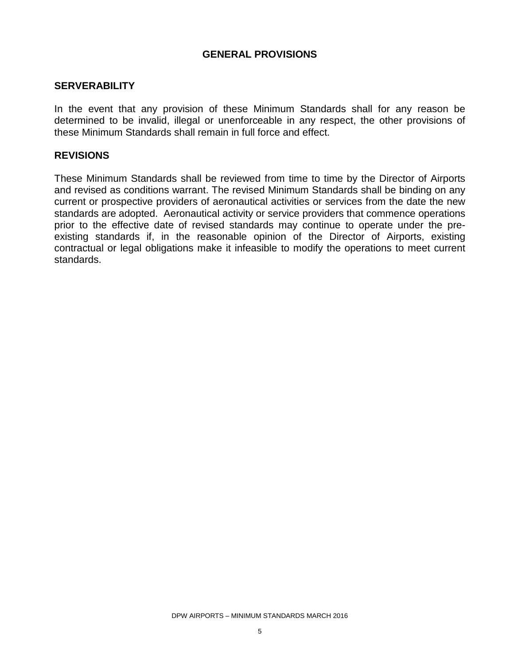#### **GENERAL PROVISIONS**

#### **SERVERABILITY**

In the event that any provision of these Minimum Standards shall for any reason be determined to be invalid, illegal or unenforceable in any respect, the other provisions of these Minimum Standards shall remain in full force and effect.

#### **REVISIONS**

These Minimum Standards shall be reviewed from time to time by the Director of Airports and revised as conditions warrant. The revised Minimum Standards shall be binding on any current or prospective providers of aeronautical activities or services from the date the new standards are adopted. Aeronautical activity or service providers that commence operations prior to the effective date of revised standards may continue to operate under the preexisting standards if, in the reasonable opinion of the Director of Airports, existing contractual or legal obligations make it infeasible to modify the operations to meet current standards.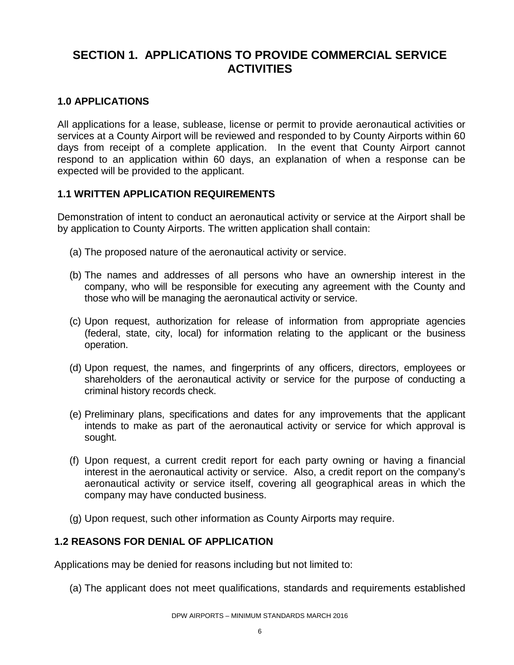# **SECTION 1. APPLICATIONS TO PROVIDE COMMERCIAL SERVICE ACTIVITIES**

# **1.0 APPLICATIONS**

All applications for a lease, sublease, license or permit to provide aeronautical activities or services at a County Airport will be reviewed and responded to by County Airports within 60 days from receipt of a complete application. In the event that County Airport cannot respond to an application within 60 days, an explanation of when a response can be expected will be provided to the applicant.

## **1.1 WRITTEN APPLICATION REQUIREMENTS**

Demonstration of intent to conduct an aeronautical activity or service at the Airport shall be by application to County Airports. The written application shall contain:

- (a) The proposed nature of the aeronautical activity or service.
- (b) The names and addresses of all persons who have an ownership interest in the company, who will be responsible for executing any agreement with the County and those who will be managing the aeronautical activity or service.
- (c) Upon request, authorization for release of information from appropriate agencies (federal, state, city, local) for information relating to the applicant or the business operation.
- (d) Upon request, the names, and fingerprints of any officers, directors, employees or shareholders of the aeronautical activity or service for the purpose of conducting a criminal history records check.
- (e) Preliminary plans, specifications and dates for any improvements that the applicant intends to make as part of the aeronautical activity or service for which approval is sought.
- (f) Upon request, a current credit report for each party owning or having a financial interest in the aeronautical activity or service. Also, a credit report on the company's aeronautical activity or service itself, covering all geographical areas in which the company may have conducted business.
- (g) Upon request, such other information as County Airports may require.

#### **1.2 REASONS FOR DENIAL OF APPLICATION**

Applications may be denied for reasons including but not limited to:

(a) The applicant does not meet qualifications, standards and requirements established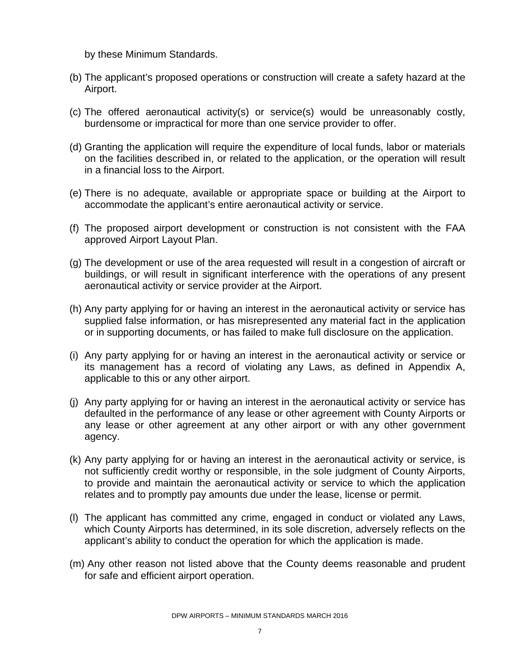by these Minimum Standards.

- (b) The applicant's proposed operations or construction will create a safety hazard at the Airport.
- (c) The offered aeronautical activity(s) or service(s) would be unreasonably costly, burdensome or impractical for more than one service provider to offer.
- (d) Granting the application will require the expenditure of local funds, labor or materials on the facilities described in, or related to the application, or the operation will result in a financial loss to the Airport.
- (e) There is no adequate, available or appropriate space or building at the Airport to accommodate the applicant's entire aeronautical activity or service.
- (f) The proposed airport development or construction is not consistent with the FAA approved Airport Layout Plan.
- (g) The development or use of the area requested will result in a congestion of aircraft or buildings, or will result in significant interference with the operations of any present aeronautical activity or service provider at the Airport.
- (h) Any party applying for or having an interest in the aeronautical activity or service has supplied false information, or has misrepresented any material fact in the application or in supporting documents, or has failed to make full disclosure on the application.
- (i) Any party applying for or having an interest in the aeronautical activity or service or its management has a record of violating any Laws, as defined in Appendix A, applicable to this or any other airport.
- (j) Any party applying for or having an interest in the aeronautical activity or service has defaulted in the performance of any lease or other agreement with County Airports or any lease or other agreement at any other airport or with any other government agency.
- (k) Any party applying for or having an interest in the aeronautical activity or service, is not sufficiently credit worthy or responsible, in the sole judgment of County Airports, to provide and maintain the aeronautical activity or service to which the application relates and to promptly pay amounts due under the lease, license or permit.
- (l) The applicant has committed any crime, engaged in conduct or violated any Laws, which County Airports has determined, in its sole discretion, adversely reflects on the applicant's ability to conduct the operation for which the application is made.
- (m) Any other reason not listed above that the County deems reasonable and prudent for safe and efficient airport operation.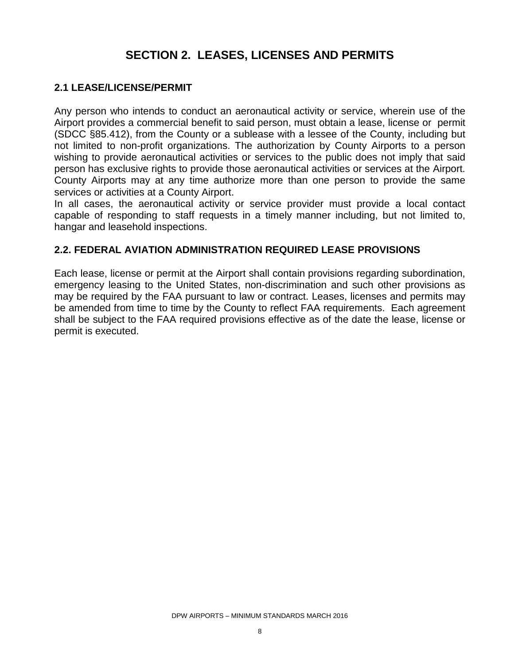# **SECTION 2. LEASES, LICENSES AND PERMITS**

#### **2.1 LEASE/LICENSE/PERMIT**

Any person who intends to conduct an aeronautical activity or service, wherein use of the Airport provides a commercial benefit to said person, must obtain a lease, license or permit (SDCC §85.412), from the County or a sublease with a lessee of the County, including but not limited to non-profit organizations. The authorization by County Airports to a person wishing to provide aeronautical activities or services to the public does not imply that said person has exclusive rights to provide those aeronautical activities or services at the Airport. County Airports may at any time authorize more than one person to provide the same services or activities at a County Airport.

In all cases, the aeronautical activity or service provider must provide a local contact capable of responding to staff requests in a timely manner including, but not limited to, hangar and leasehold inspections.

#### **2.2. FEDERAL AVIATION ADMINISTRATION REQUIRED LEASE PROVISIONS**

Each lease, license or permit at the Airport shall contain provisions regarding subordination, emergency leasing to the United States, non-discrimination and such other provisions as may be required by the FAA pursuant to law or contract. Leases, licenses and permits may be amended from time to time by the County to reflect FAA requirements. Each agreement shall be subject to the FAA required provisions effective as of the date the lease, license or permit is executed.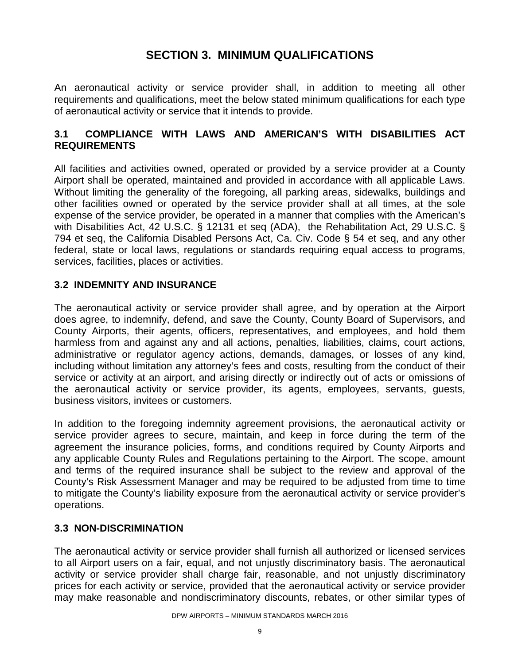# **SECTION 3. MINIMUM QUALIFICATIONS**

An aeronautical activity or service provider shall, in addition to meeting all other requirements and qualifications, meet the below stated minimum qualifications for each type of aeronautical activity or service that it intends to provide.

# **3.1 COMPLIANCE WITH LAWS AND AMERICAN'S WITH DISABILITIES ACT REQUIREMENTS**

All facilities and activities owned, operated or provided by a service provider at a County Airport shall be operated, maintained and provided in accordance with all applicable Laws. Without limiting the generality of the foregoing, all parking areas, sidewalks, buildings and other facilities owned or operated by the service provider shall at all times, at the sole expense of the service provider, be operated in a manner that complies with the American's with Disabilities Act, 42 U.S.C. § 12131 et seq (ADA), the Rehabilitation Act, 29 U.S.C. § 794 et seq, the California Disabled Persons Act, Ca. Civ. Code § 54 et seq, and any other federal, state or local laws, regulations or standards requiring equal access to programs, services, facilities, places or activities.

# **3.2 INDEMNITY AND INSURANCE**

The aeronautical activity or service provider shall agree, and by operation at the Airport does agree, to indemnify, defend, and save the County, County Board of Supervisors, and County Airports, their agents, officers, representatives, and employees, and hold them harmless from and against any and all actions, penalties, liabilities, claims, court actions, administrative or regulator agency actions, demands, damages, or losses of any kind, including without limitation any attorney's fees and costs, resulting from the conduct of their service or activity at an airport, and arising directly or indirectly out of acts or omissions of the aeronautical activity or service provider, its agents, employees, servants, guests, business visitors, invitees or customers.

In addition to the foregoing indemnity agreement provisions, the aeronautical activity or service provider agrees to secure, maintain, and keep in force during the term of the agreement the insurance policies, forms, and conditions required by County Airports and any applicable County Rules and Regulations pertaining to the Airport. The scope, amount and terms of the required insurance shall be subject to the review and approval of the County's Risk Assessment Manager and may be required to be adjusted from time to time to mitigate the County's liability exposure from the aeronautical activity or service provider's operations.

#### **3.3 NON-DISCRIMINATION**

The aeronautical activity or service provider shall furnish all authorized or licensed services to all Airport users on a fair, equal, and not unjustly discriminatory basis. The aeronautical activity or service provider shall charge fair, reasonable, and not unjustly discriminatory prices for each activity or service, provided that the aeronautical activity or service provider may make reasonable and nondiscriminatory discounts, rebates, or other similar types of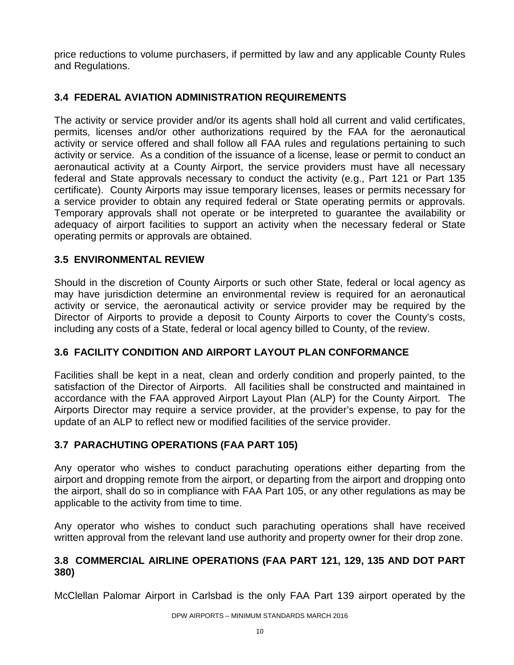price reductions to volume purchasers, if permitted by law and any applicable County Rules and Regulations.

# **3.4 FEDERAL AVIATION ADMINISTRATION REQUIREMENTS**

The activity or service provider and/or its agents shall hold all current and valid certificates, permits, licenses and/or other authorizations required by the FAA for the aeronautical activity or service offered and shall follow all FAA rules and regulations pertaining to such activity or service. As a condition of the issuance of a license, lease or permit to conduct an aeronautical activity at a County Airport, the service providers must have all necessary federal and State approvals necessary to conduct the activity (e.g., Part 121 or Part 135 certificate). County Airports may issue temporary licenses, leases or permits necessary for a service provider to obtain any required federal or State operating permits or approvals. Temporary approvals shall not operate or be interpreted to guarantee the availability or adequacy of airport facilities to support an activity when the necessary federal or State operating permits or approvals are obtained.

# **3.5 ENVIRONMENTAL REVIEW**

Should in the discretion of County Airports or such other State, federal or local agency as may have jurisdiction determine an environmental review is required for an aeronautical activity or service, the aeronautical activity or service provider may be required by the Director of Airports to provide a deposit to County Airports to cover the County's costs, including any costs of a State, federal or local agency billed to County, of the review.

# **3.6 FACILITY CONDITION AND AIRPORT LAYOUT PLAN CONFORMANCE**

Facilities shall be kept in a neat, clean and orderly condition and properly painted, to the satisfaction of the Director of Airports. All facilities shall be constructed and maintained in accordance with the FAA approved Airport Layout Plan (ALP) for the County Airport. The Airports Director may require a service provider, at the provider's expense, to pay for the update of an ALP to reflect new or modified facilities of the service provider.

# **3.7 PARACHUTING OPERATIONS (FAA PART 105)**

Any operator who wishes to conduct parachuting operations either departing from the airport and dropping remote from the airport, or departing from the airport and dropping onto the airport, shall do so in compliance with FAA Part 105, or any other regulations as may be applicable to the activity from time to time.

Any operator who wishes to conduct such parachuting operations shall have received written approval from the relevant land use authority and property owner for their drop zone.

#### **3.8 COMMERCIAL AIRLINE OPERATIONS (FAA PART 121, 129, 135 AND DOT PART 380)**

McClellan Palomar Airport in Carlsbad is the only FAA Part 139 airport operated by the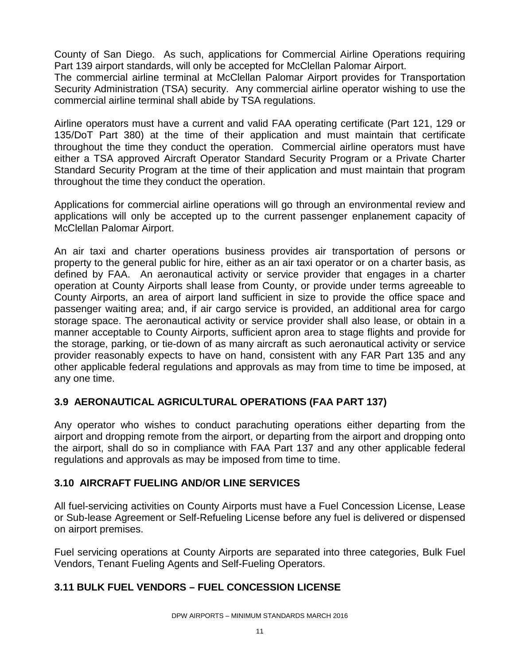County of San Diego. As such, applications for Commercial Airline Operations requiring Part 139 airport standards, will only be accepted for McClellan Palomar Airport.

The commercial airline terminal at McClellan Palomar Airport provides for Transportation Security Administration (TSA) security. Any commercial airline operator wishing to use the commercial airline terminal shall abide by TSA regulations.

Airline operators must have a current and valid FAA operating certificate (Part 121, 129 or 135/DoT Part 380) at the time of their application and must maintain that certificate throughout the time they conduct the operation. Commercial airline operators must have either a TSA approved Aircraft Operator Standard Security Program or a Private Charter Standard Security Program at the time of their application and must maintain that program throughout the time they conduct the operation.

Applications for commercial airline operations will go through an environmental review and applications will only be accepted up to the current passenger enplanement capacity of McClellan Palomar Airport.

An air taxi and charter operations business provides air transportation of persons or property to the general public for hire, either as an air taxi operator or on a charter basis, as defined by FAA. An aeronautical activity or service provider that engages in a charter operation at County Airports shall lease from County, or provide under terms agreeable to County Airports, an area of airport land sufficient in size to provide the office space and passenger waiting area; and, if air cargo service is provided, an additional area for cargo storage space. The aeronautical activity or service provider shall also lease, or obtain in a manner acceptable to County Airports, sufficient apron area to stage flights and provide for the storage, parking, or tie-down of as many aircraft as such aeronautical activity or service provider reasonably expects to have on hand, consistent with any FAR Part 135 and any other applicable federal regulations and approvals as may from time to time be imposed, at any one time.

# **3.9 AERONAUTICAL AGRICULTURAL OPERATIONS (FAA PART 137)**

Any operator who wishes to conduct parachuting operations either departing from the airport and dropping remote from the airport, or departing from the airport and dropping onto the airport, shall do so in compliance with FAA Part 137 and any other applicable federal regulations and approvals as may be imposed from time to time.

#### **3.10 AIRCRAFT FUELING AND/OR LINE SERVICES**

All fuel-servicing activities on County Airports must have a Fuel Concession License, Lease or Sub-lease Agreement or Self-Refueling License before any fuel is delivered or dispensed on airport premises.

Fuel servicing operations at County Airports are separated into three categories, Bulk Fuel Vendors, Tenant Fueling Agents and Self-Fueling Operators.

#### **3.11 BULK FUEL VENDORS – FUEL CONCESSION LICENSE**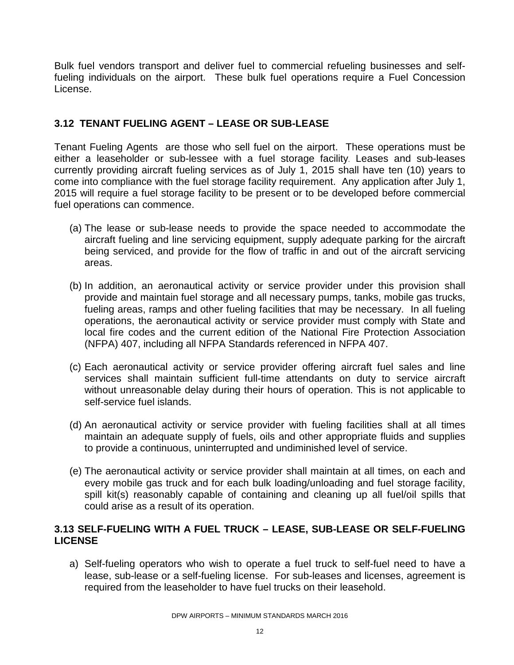Bulk fuel vendors transport and deliver fuel to commercial refueling businesses and selffueling individuals on the airport. These bulk fuel operations require a Fuel Concession License.

# **3.12 TENANT FUELING AGENT – LEASE OR SUB-LEASE**

Tenant Fueling Agents are those who sell fuel on the airport. These operations must be either a leaseholder or sub-lessee with a fuel storage facility. Leases and sub-leases currently providing aircraft fueling services as of July 1, 2015 shall have ten (10) years to come into compliance with the fuel storage facility requirement. Any application after July 1, 2015 will require a fuel storage facility to be present or to be developed before commercial fuel operations can commence.

- (a) The lease or sub-lease needs to provide the space needed to accommodate the aircraft fueling and line servicing equipment, supply adequate parking for the aircraft being serviced, and provide for the flow of traffic in and out of the aircraft servicing areas.
- (b) In addition, an aeronautical activity or service provider under this provision shall provide and maintain fuel storage and all necessary pumps, tanks, mobile gas trucks, fueling areas, ramps and other fueling facilities that may be necessary. In all fueling operations, the aeronautical activity or service provider must comply with State and local fire codes and the current edition of the National Fire Protection Association (NFPA) 407, including all NFPA Standards referenced in NFPA 407.
- (c) Each aeronautical activity or service provider offering aircraft fuel sales and line services shall maintain sufficient full-time attendants on duty to service aircraft without unreasonable delay during their hours of operation. This is not applicable to self-service fuel islands.
- (d) An aeronautical activity or service provider with fueling facilities shall at all times maintain an adequate supply of fuels, oils and other appropriate fluids and supplies to provide a continuous, uninterrupted and undiminished level of service.
- (e) The aeronautical activity or service provider shall maintain at all times, on each and every mobile gas truck and for each bulk loading/unloading and fuel storage facility, spill kit(s) reasonably capable of containing and cleaning up all fuel/oil spills that could arise as a result of its operation.

## **3.13 SELF-FUELING WITH A FUEL TRUCK – LEASE, SUB-LEASE OR SELF-FUELING LICENSE**

a) Self-fueling operators who wish to operate a fuel truck to self-fuel need to have a lease, sub-lease or a self-fueling license. For sub-leases and licenses, agreement is required from the leaseholder to have fuel trucks on their leasehold.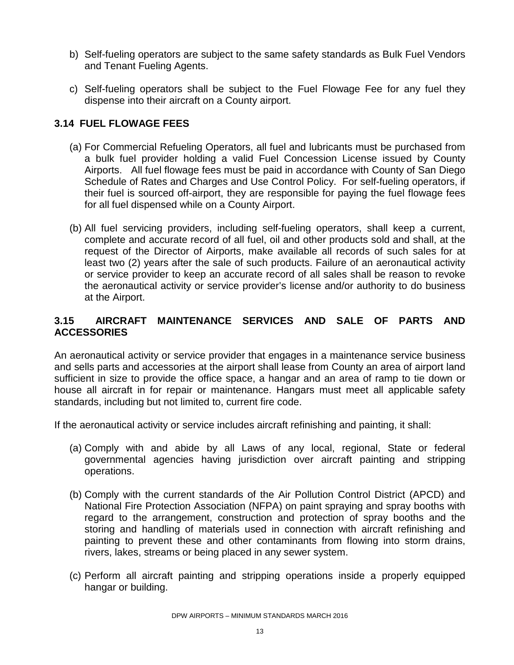- b) Self-fueling operators are subject to the same safety standards as Bulk Fuel Vendors and Tenant Fueling Agents.
- c) Self-fueling operators shall be subject to the Fuel Flowage Fee for any fuel they dispense into their aircraft on a County airport.

# **3.14 FUEL FLOWAGE FEES**

- (a) For Commercial Refueling Operators, all fuel and lubricants must be purchased from a bulk fuel provider holding a valid Fuel Concession License issued by County Airports. All fuel flowage fees must be paid in accordance with County of San Diego Schedule of Rates and Charges and Use Control Policy. For self-fueling operators, if their fuel is sourced off-airport, they are responsible for paying the fuel flowage fees for all fuel dispensed while on a County Airport.
- (b) All fuel servicing providers, including self-fueling operators, shall keep a current, complete and accurate record of all fuel, oil and other products sold and shall, at the request of the Director of Airports, make available all records of such sales for at least two (2) years after the sale of such products. Failure of an aeronautical activity or service provider to keep an accurate record of all sales shall be reason to revoke the aeronautical activity or service provider's license and/or authority to do business at the Airport.

# **3.15 AIRCRAFT MAINTENANCE SERVICES AND SALE OF PARTS AND ACCESSORIES**

An aeronautical activity or service provider that engages in a maintenance service business and sells parts and accessories at the airport shall lease from County an area of airport land sufficient in size to provide the office space, a hangar and an area of ramp to tie down or house all aircraft in for repair or maintenance. Hangars must meet all applicable safety standards, including but not limited to, current fire code.

If the aeronautical activity or service includes aircraft refinishing and painting, it shall:

- (a) Comply with and abide by all Laws of any local, regional, State or federal governmental agencies having jurisdiction over aircraft painting and stripping operations.
- (b) Comply with the current standards of the Air Pollution Control District (APCD) and National Fire Protection Association (NFPA) on paint spraying and spray booths with regard to the arrangement, construction and protection of spray booths and the storing and handling of materials used in connection with aircraft refinishing and painting to prevent these and other contaminants from flowing into storm drains, rivers, lakes, streams or being placed in any sewer system.
- (c) Perform all aircraft painting and stripping operations inside a properly equipped hangar or building.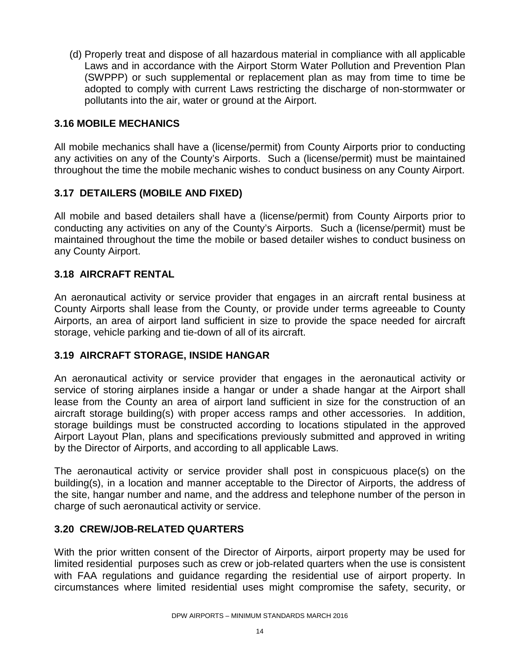(d) Properly treat and dispose of all hazardous material in compliance with all applicable Laws and in accordance with the Airport Storm Water Pollution and Prevention Plan (SWPPP) or such supplemental or replacement plan as may from time to time be adopted to comply with current Laws restricting the discharge of non-stormwater or pollutants into the air, water or ground at the Airport.

## **3.16 MOBILE MECHANICS**

All mobile mechanics shall have a (license/permit) from County Airports prior to conducting any activities on any of the County's Airports. Such a (license/permit) must be maintained throughout the time the mobile mechanic wishes to conduct business on any County Airport.

## **3.17 DETAILERS (MOBILE AND FIXED)**

All mobile and based detailers shall have a (license/permit) from County Airports prior to conducting any activities on any of the County's Airports. Such a (license/permit) must be maintained throughout the time the mobile or based detailer wishes to conduct business on any County Airport.

## **3.18 AIRCRAFT RENTAL**

An aeronautical activity or service provider that engages in an aircraft rental business at County Airports shall lease from the County, or provide under terms agreeable to County Airports, an area of airport land sufficient in size to provide the space needed for aircraft storage, vehicle parking and tie-down of all of its aircraft.

#### **3.19 AIRCRAFT STORAGE, INSIDE HANGAR**

An aeronautical activity or service provider that engages in the aeronautical activity or service of storing airplanes inside a hangar or under a shade hangar at the Airport shall lease from the County an area of airport land sufficient in size for the construction of an aircraft storage building(s) with proper access ramps and other accessories. In addition, storage buildings must be constructed according to locations stipulated in the approved Airport Layout Plan, plans and specifications previously submitted and approved in writing by the Director of Airports, and according to all applicable Laws.

The aeronautical activity or service provider shall post in conspicuous place(s) on the building(s), in a location and manner acceptable to the Director of Airports, the address of the site, hangar number and name, and the address and telephone number of the person in charge of such aeronautical activity or service.

#### **3.20 CREW/JOB-RELATED QUARTERS**

With the prior written consent of the Director of Airports, airport property may be used for limited residential purposes such as crew or job-related quarters when the use is consistent with FAA regulations and guidance regarding the residential use of airport property. In circumstances where limited residential uses might compromise the safety, security, or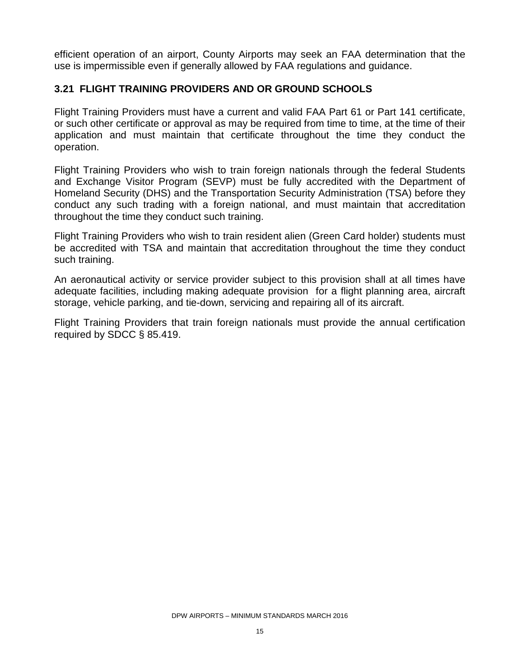efficient operation of an airport, County Airports may seek an FAA determination that the use is impermissible even if generally allowed by FAA regulations and guidance.

# **3.21 FLIGHT TRAINING PROVIDERS AND OR GROUND SCHOOLS**

Flight Training Providers must have a current and valid FAA Part 61 or Part 141 certificate, or such other certificate or approval as may be required from time to time, at the time of their application and must maintain that certificate throughout the time they conduct the operation.

Flight Training Providers who wish to train foreign nationals through the federal Students and Exchange Visitor Program (SEVP) must be fully accredited with the Department of Homeland Security (DHS) and the Transportation Security Administration (TSA) before they conduct any such trading with a foreign national, and must maintain that accreditation throughout the time they conduct such training.

Flight Training Providers who wish to train resident alien (Green Card holder) students must be accredited with TSA and maintain that accreditation throughout the time they conduct such training.

An aeronautical activity or service provider subject to this provision shall at all times have adequate facilities, including making adequate provision for a flight planning area, aircraft storage, vehicle parking, and tie-down, servicing and repairing all of its aircraft.

Flight Training Providers that train foreign nationals must provide the annual certification required by SDCC § 85.419.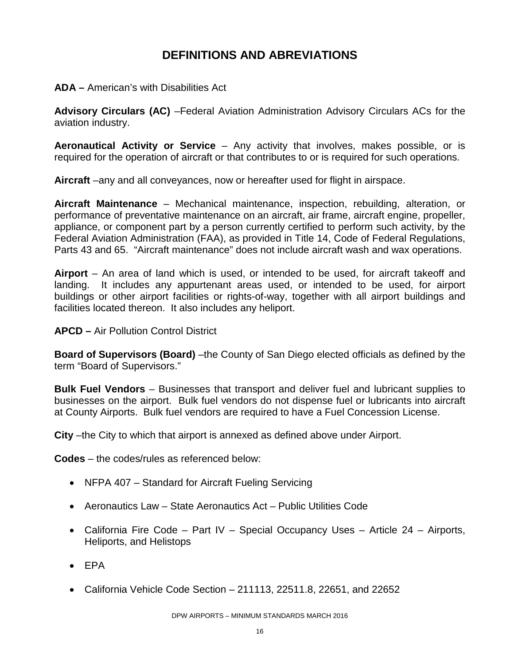# **DEFINITIONS AND ABREVIATIONS**

**ADA –** American's with Disabilities Act

**Advisory Circulars (AC)** –Federal Aviation Administration Advisory Circulars ACs for the aviation industry.

**Aeronautical Activity or Service** – Any activity that involves, makes possible, or is required for the operation of aircraft or that contributes to or is required for such operations.

**Aircraft** –any and all conveyances, now or hereafter used for flight in airspace.

**Aircraft Maintenance** – Mechanical maintenance, inspection, rebuilding, alteration, or performance of preventative maintenance on an aircraft, air frame, aircraft engine, propeller, appliance, or component part by a person currently certified to perform such activity, by the Federal Aviation Administration (FAA), as provided in Title 14, Code of Federal Regulations, Parts 43 and 65. "Aircraft maintenance" does not include aircraft wash and wax operations.

**Airport** – An area of land which is used, or intended to be used, for aircraft takeoff and landing. It includes any appurtenant areas used, or intended to be used, for airport buildings or other airport facilities or rights-of-way, together with all airport buildings and facilities located thereon. It also includes any heliport.

**APCD –** Air Pollution Control District

**Board of Supervisors (Board)** –the County of San Diego elected officials as defined by the term "Board of Supervisors."

**Bulk Fuel Vendors** – Businesses that transport and deliver fuel and lubricant supplies to businesses on the airport. Bulk fuel vendors do not dispense fuel or lubricants into aircraft at County Airports. Bulk fuel vendors are required to have a Fuel Concession License.

**City** –the City to which that airport is annexed as defined above under Airport.

**Codes** – the codes/rules as referenced below:

- NFPA 407 Standard for Aircraft Fueling Servicing
- Aeronautics Law State Aeronautics Act Public Utilities Code
- California Fire Code Part IV Special Occupancy Uses Article 24 Airports, Heliports, and Helistops
- EPA
- California Vehicle Code Section 211113, 22511.8, 22651, and 22652

DPW AIRPORTS – MINIMUM STANDARDS MARCH 2016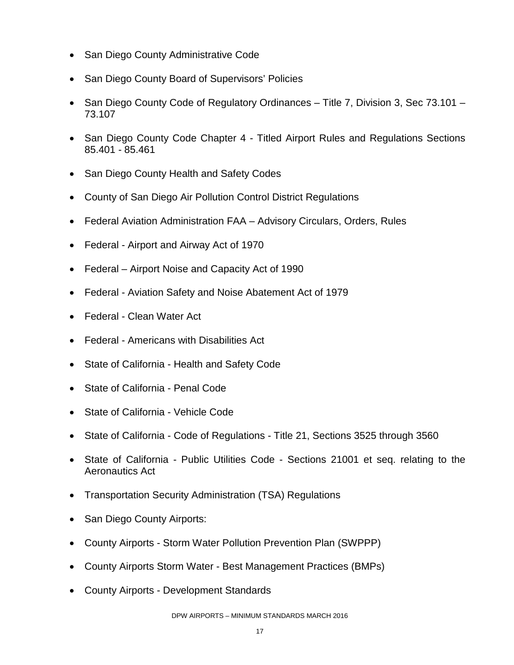- San Diego County Administrative Code
- San Diego County Board of Supervisors' Policies
- San Diego County Code of Regulatory Ordinances Title 7, Division 3, Sec 73.101 73.107
- San Diego County Code Chapter 4 Titled Airport Rules and Regulations Sections 85.401 - 85.461
- San Diego County Health and Safety Codes
- County of San Diego Air Pollution Control District Regulations
- Federal Aviation Administration FAA Advisory Circulars, Orders, Rules
- Federal Airport and Airway Act of 1970
- Federal Airport Noise and Capacity Act of 1990
- Federal Aviation Safety and Noise Abatement Act of 1979
- Federal Clean Water Act
- Federal Americans with Disabilities Act
- State of California Health and Safety Code
- State of California Penal Code
- State of California Vehicle Code
- State of California Code of Regulations Title 21, Sections 3525 through 3560
- State of California Public Utilities Code Sections 21001 et seq. relating to the Aeronautics Act
- Transportation Security Administration (TSA) Regulations
- San Diego County Airports:
- County Airports Storm Water Pollution Prevention Plan (SWPPP)
- County Airports Storm Water Best Management Practices (BMPs)
- County Airports Development Standards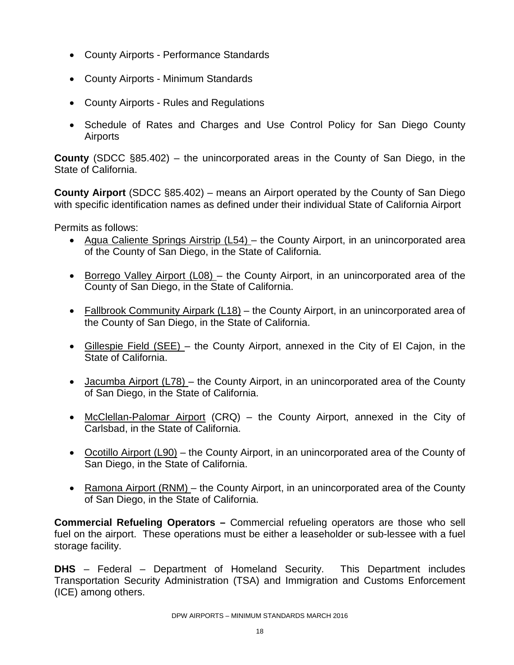- County Airports Performance Standards
- County Airports Minimum Standards
- County Airports Rules and Regulations
- Schedule of Rates and Charges and Use Control Policy for San Diego County **Airports**

**County** (SDCC §85.402) – the unincorporated areas in the County of San Diego, in the State of California.

**County Airport** (SDCC §85.402) – means an Airport operated by the County of San Diego with specific identification names as defined under their individual State of California Airport

Permits as follows:

- Agua Caliente Springs Airstrip (L54) the County Airport, in an unincorporated area of the County of San Diego, in the State of California.
- Borrego Valley Airport (L08) the County Airport, in an unincorporated area of the County of San Diego, in the State of California.
- Fallbrook Community Airpark (L18) the County Airport, in an unincorporated area of the County of San Diego, in the State of California.
- Gillespie Field (SEE) the County Airport, annexed in the City of El Cajon, in the State of California.
- Jacumba Airport (L78) the County Airport, in an unincorporated area of the County of San Diego, in the State of California.
- McClellan-Palomar Airport (CRQ) the County Airport, annexed in the City of Carlsbad, in the State of California.
- Ocotillo Airport (L90) the County Airport, in an unincorporated area of the County of San Diego, in the State of California.
- Ramona Airport (RNM) the County Airport, in an unincorporated area of the County of San Diego, in the State of California.

**Commercial Refueling Operators –** Commercial refueling operators are those who sell fuel on the airport. These operations must be either a leaseholder or sub-lessee with a fuel storage facility.

**DHS** – Federal – Department of Homeland Security. This Department includes Transportation Security Administration (TSA) and Immigration and Customs Enforcement (ICE) among others.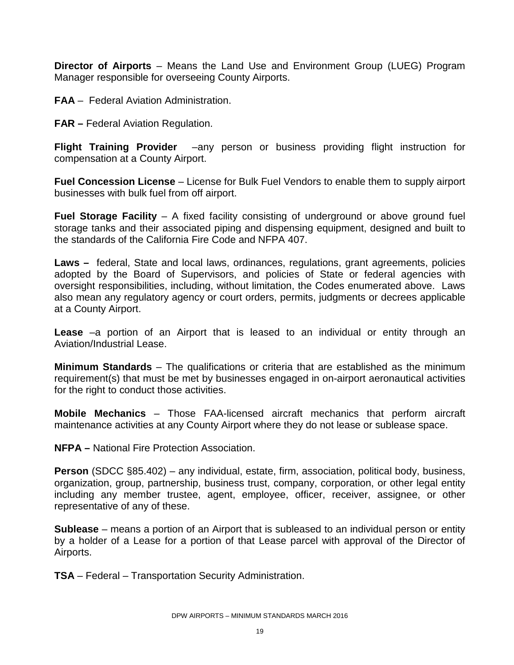**Director of Airports** – Means the Land Use and Environment Group (LUEG) Program Manager responsible for overseeing County Airports.

**FAA** – Federal Aviation Administration.

**FAR –** Federal Aviation Regulation.

**Flight Training Provider** –any person or business providing flight instruction for compensation at a County Airport.

**Fuel Concession License** – License for Bulk Fuel Vendors to enable them to supply airport businesses with bulk fuel from off airport.

**Fuel Storage Facility** – A fixed facility consisting of underground or above ground fuel storage tanks and their associated piping and dispensing equipment, designed and built to the standards of the California Fire Code and NFPA 407.

**Laws –** federal, State and local laws, ordinances, regulations, grant agreements, policies adopted by the Board of Supervisors, and policies of State or federal agencies with oversight responsibilities, including, without limitation, the Codes enumerated above. Laws also mean any regulatory agency or court orders, permits, judgments or decrees applicable at a County Airport.

**Lease** –a portion of an Airport that is leased to an individual or entity through an Aviation/Industrial Lease.

**Minimum Standards** – The qualifications or criteria that are established as the minimum requirement(s) that must be met by businesses engaged in on-airport aeronautical activities for the right to conduct those activities.

**Mobile Mechanics** – Those FAA-licensed aircraft mechanics that perform aircraft maintenance activities at any County Airport where they do not lease or sublease space.

**NFPA –** National Fire Protection Association.

**Person** (SDCC §85.402) – any individual, estate, firm, association, political body, business, organization, group, partnership, business trust, company, corporation, or other legal entity including any member trustee, agent, employee, officer, receiver, assignee, or other representative of any of these.

**Sublease** – means a portion of an Airport that is subleased to an individual person or entity by a holder of a Lease for a portion of that Lease parcel with approval of the Director of Airports.

**TSA** – Federal – Transportation Security Administration.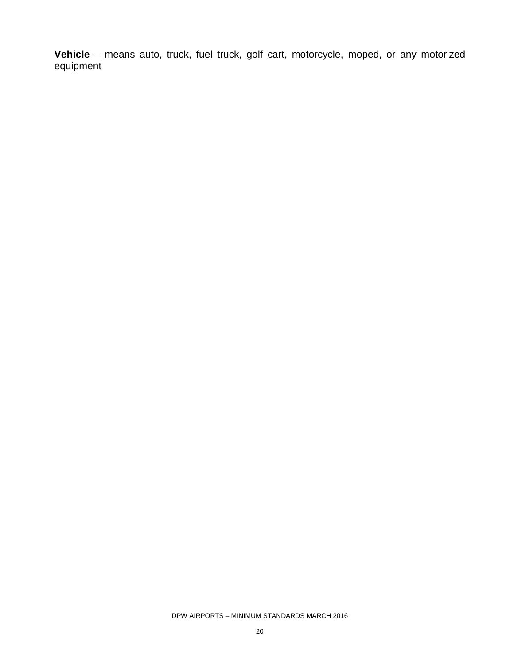**Vehicle** – means auto, truck, fuel truck, golf cart, motorcycle, moped, or any motorized equipment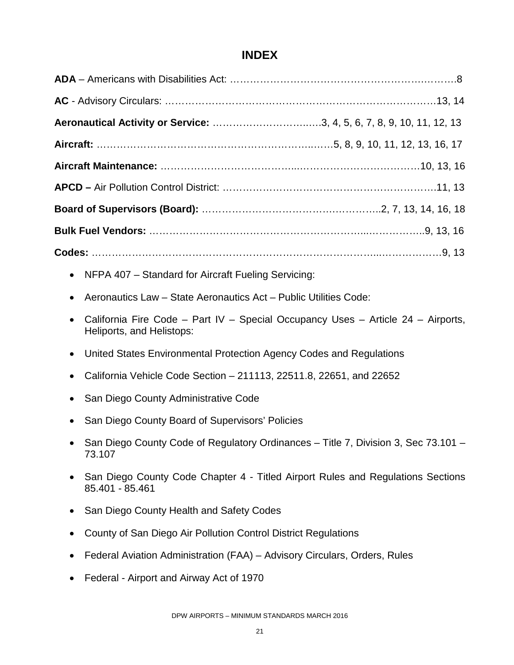# **INDEX**

| Aeronautical Activity or Service: 3, 4, 5, 6, 7, 8, 9, 10, 11, 12, 13                                         |  |  |
|---------------------------------------------------------------------------------------------------------------|--|--|
|                                                                                                               |  |  |
|                                                                                                               |  |  |
|                                                                                                               |  |  |
|                                                                                                               |  |  |
|                                                                                                               |  |  |
|                                                                                                               |  |  |
| NFPA 407 - Standard for Aircraft Fueling Servicing:                                                           |  |  |
| Aeronautics Law - State Aeronautics Act - Public Utilities Code:                                              |  |  |
| California Fire Code - Part IV - Special Occupancy Uses - Article 24 - Airports,<br>Heliports, and Helistops: |  |  |
| United States Environmental Protection Agency Codes and Regulations<br>$\bullet$                              |  |  |
| California Vehicle Code Section – 211113, 22511.8, 22651, and 22652                                           |  |  |
| San Diego County Administrative Code                                                                          |  |  |
| San Diego County Board of Supervisors' Policies                                                               |  |  |
| San Diego County Code of Regulatory Ordinances - Title 7, Division 3, Sec 73.101 -<br>73.107                  |  |  |
| San Diego County Code Chapter 4 - Titled Airport Rules and Regulations Sections<br>85.401 - 85.461            |  |  |
| San Diego County Health and Safety Codes                                                                      |  |  |
| County of San Diego Air Pollution Control District Regulations<br>$\bullet$                                   |  |  |
| Federal Aviation Administration (FAA) - Advisory Circulars, Orders, Rules                                     |  |  |
| Federal - Airport and Airway Act of 1970                                                                      |  |  |
|                                                                                                               |  |  |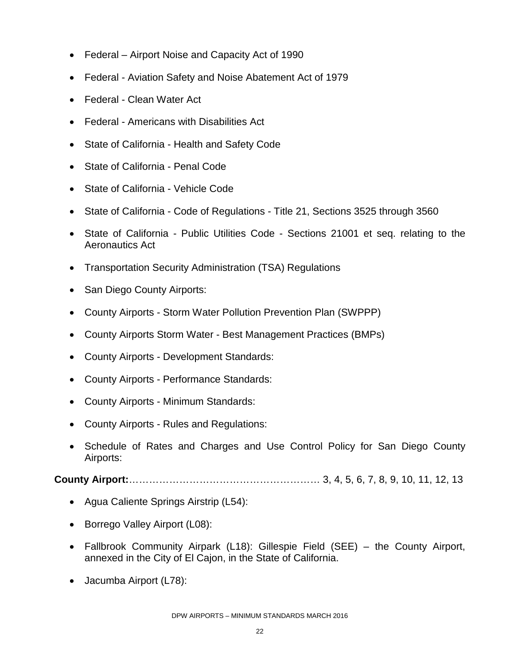- Federal Airport Noise and Capacity Act of 1990
- Federal Aviation Safety and Noise Abatement Act of 1979
- Federal Clean Water Act
- Federal Americans with Disabilities Act
- State of California Health and Safety Code
- State of California Penal Code
- State of California Vehicle Code
- State of California Code of Regulations Title 21, Sections 3525 through 3560
- State of California Public Utilities Code Sections 21001 et seq. relating to the Aeronautics Act
- Transportation Security Administration (TSA) Regulations
- San Diego County Airports:
- County Airports Storm Water Pollution Prevention Plan (SWPPP)
- County Airports Storm Water Best Management Practices (BMPs)
- County Airports Development Standards:
- County Airports Performance Standards:
- County Airports Minimum Standards:
- County Airports Rules and Regulations:
- Schedule of Rates and Charges and Use Control Policy for San Diego County Airports:

**County Airport:**………………………………………………… 3, 4, 5, 6, 7, 8, 9, 10, 11, 12, 13

- Agua Caliente Springs Airstrip (L54):
- Borrego Valley Airport (L08):
- Fallbrook Community Airpark (L18): Gillespie Field (SEE) the County Airport, annexed in the City of El Cajon, in the State of California.
- Jacumba Airport (L78):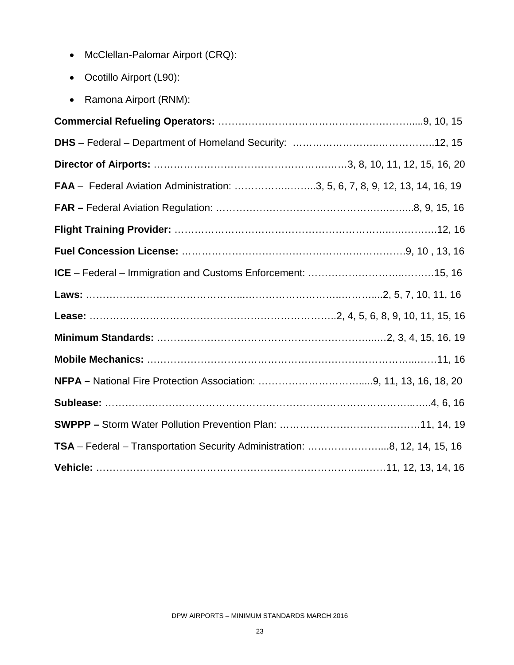- McClellan-Palomar Airport (CRQ):
- Ocotillo Airport (L90):
- Ramona Airport (RNM):

| <b>FAA</b> – Federal Aviation Administration: 3, 5, 6, 7, 8, 9, 12, 13, 14, 16, 19 |  |
|------------------------------------------------------------------------------------|--|
|                                                                                    |  |
|                                                                                    |  |
|                                                                                    |  |
|                                                                                    |  |
|                                                                                    |  |
|                                                                                    |  |
|                                                                                    |  |
|                                                                                    |  |
|                                                                                    |  |
|                                                                                    |  |
|                                                                                    |  |
| TSA - Federal - Transportation Security Administration: 8, 12, 14, 15, 16          |  |
|                                                                                    |  |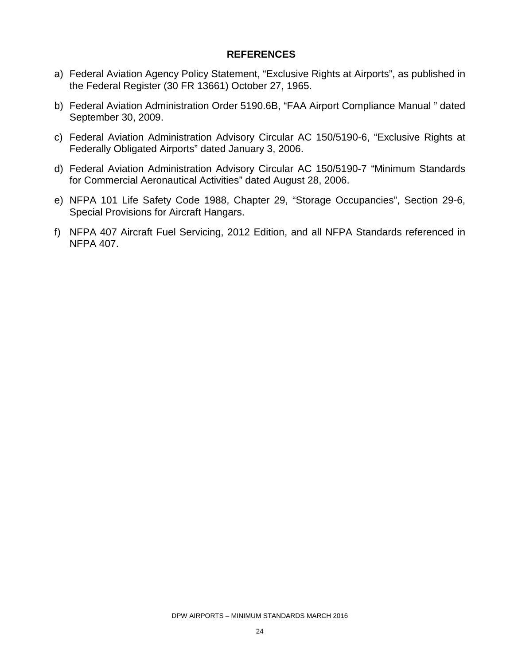#### **REFERENCES**

- a) Federal Aviation Agency Policy Statement, "Exclusive Rights at Airports", as published in the Federal Register (30 FR 13661) October 27, 1965.
- b) Federal Aviation Administration Order 5190.6B, "FAA Airport Compliance Manual " dated September 30, 2009.
- c) Federal Aviation Administration Advisory Circular AC 150/5190-6, "Exclusive Rights at Federally Obligated Airports" dated January 3, 2006.
- d) Federal Aviation Administration Advisory Circular AC 150/5190-7 "Minimum Standards for Commercial Aeronautical Activities" dated August 28, 2006.
- e) NFPA 101 Life Safety Code 1988, Chapter 29, "Storage Occupancies", Section 29-6, Special Provisions for Aircraft Hangars.
- f) NFPA 407 Aircraft Fuel Servicing, 2012 Edition, and all NFPA Standards referenced in NFPA 407.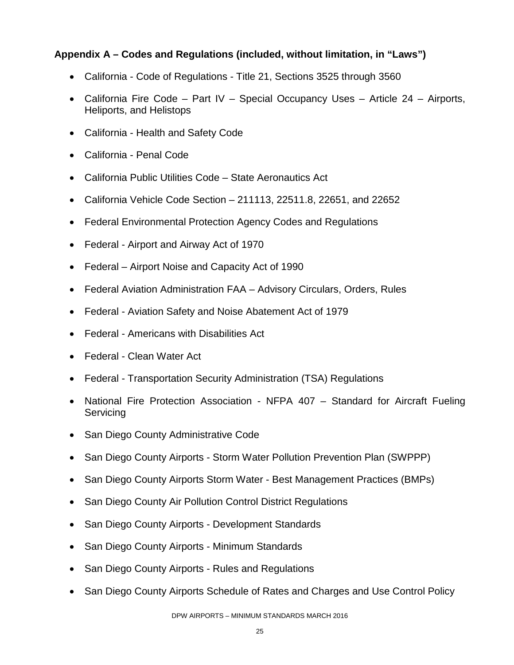# **Appendix A – Codes and Regulations (included, without limitation, in "Laws")**

- California Code of Regulations Title 21, Sections 3525 through 3560
- California Fire Code Part IV Special Occupancy Uses Article 24 Airports, Heliports, and Helistops
- California Health and Safety Code
- California Penal Code
- California Public Utilities Code State Aeronautics Act
- California Vehicle Code Section 211113, 22511.8, 22651, and 22652
- Federal Environmental Protection Agency Codes and Regulations
- Federal Airport and Airway Act of 1970
- Federal Airport Noise and Capacity Act of 1990
- Federal Aviation Administration FAA Advisory Circulars, Orders, Rules
- Federal Aviation Safety and Noise Abatement Act of 1979
- Federal Americans with Disabilities Act
- Federal Clean Water Act
- Federal Transportation Security Administration (TSA) Regulations
- National Fire Protection Association NFPA 407 Standard for Aircraft Fueling **Servicing**
- San Diego County Administrative Code
- San Diego County Airports Storm Water Pollution Prevention Plan (SWPPP)
- San Diego County Airports Storm Water Best Management Practices (BMPs)
- San Diego County Air Pollution Control District Regulations
- San Diego County Airports Development Standards
- San Diego County Airports Minimum Standards
- San Diego County Airports Rules and Regulations
- San Diego County Airports Schedule of Rates and Charges and Use Control Policy